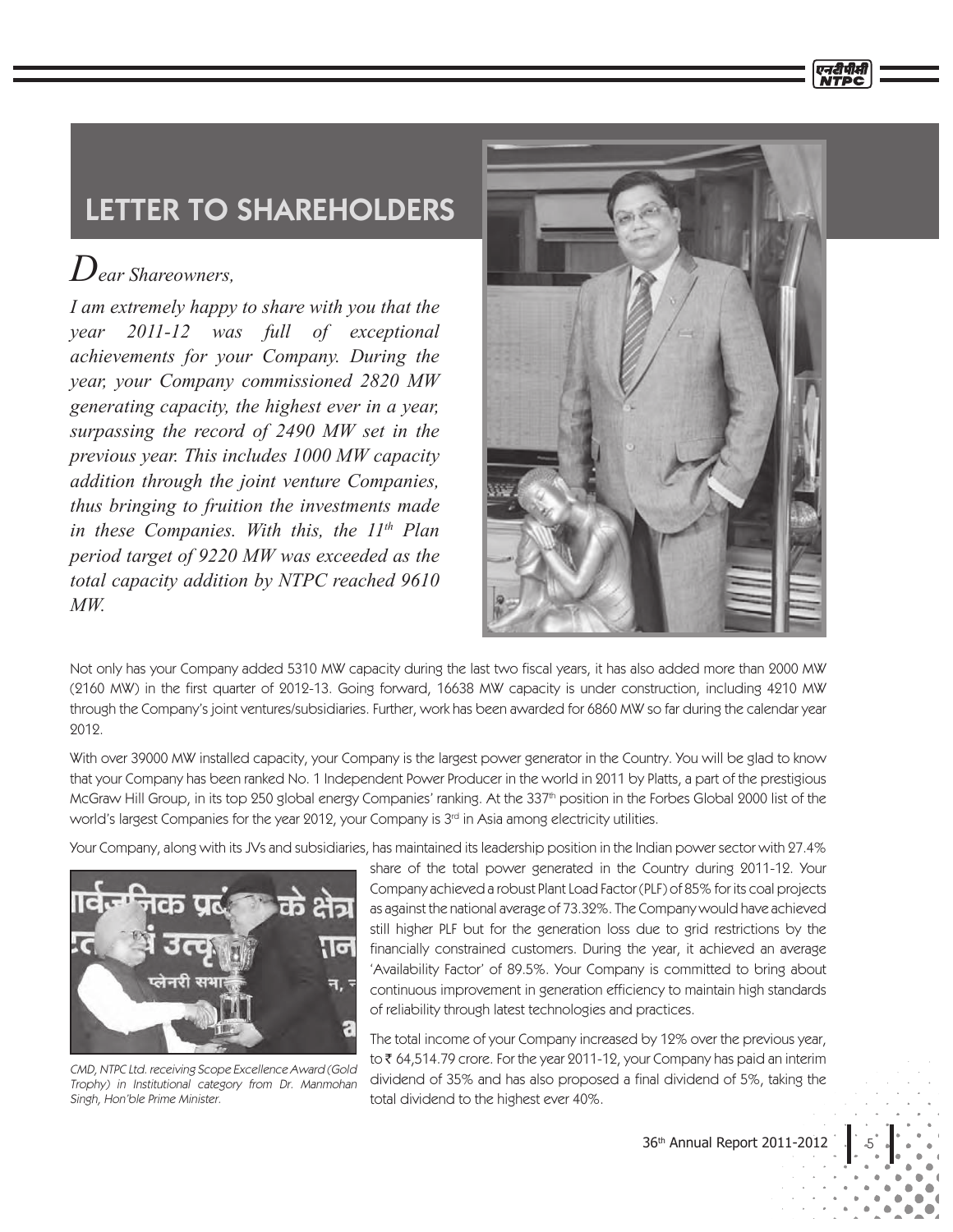## LETTER TO SHAREHOLDERS

## *Dear Shareowners,*

*I am extremely happy to share with you that the year 2011-12 was full of exceptional achievements for your Company. During the year, your Company commissioned 2820 MW generating capacity, the highest ever in a year, surpassing the record of 2490 MW set in the previous year. This includes 1000 MW capacity addition through the joint venture Companies, thus bringing to fruition the investments made in these Companies. With this, the 11th Plan period target of 9220 MW was exceeded as the total capacity addition by NTPC reached 9610 MW.*



Not only has your Company added 5310 MW capacity during the last two fiscal years, it has also added more than 2000 MW (2160 MW) in the first quarter of 2012-13. Going forward, 16638 MW capacity is under construction, including 4210 MW through the Company's joint ventures/subsidiaries. Further, work has been awarded for 6860 MW so far during the calendar year 2012.

With over 39000 MW installed capacity, your Company is the largest power generator in the Country. You will be glad to know that your Company has been ranked No. 1 Independent Power Producer in the world in 2011 by Platts, a part of the prestigious McGraw Hill Group, in its top 250 global energy Companies' ranking. At the 337<sup>th</sup> position in the Forbes Global 2000 list of the world's largest Companies for the year 2012, your Company is  $3<sup>rd</sup>$  in Asia among electricity utilities.

Your Company, along with its JVs and subsidiaries, has maintained its leadership position in the Indian power sector with 27.4%



CMD, NTPC Ltd. receiving Scope Excellence Award (Gold Trophy) in Institutional category from Dr. Manmohan Singh, Hon'ble Prime Minister.

share of the total power generated in the Country during 2011-12. Your Company achieved a robust Plant Load Factor (PLF) of 85% for its coal projects as against the national average of 73.32%. The Company would have achieved still higher PLF but for the generation loss due to grid restrictions by the financially constrained customers. During the year, it achieved an average 'Availability Factor' of 89.5%. Your Company is committed to bring about continuous improvement in generation efficiency to maintain high standards of reliability through latest technologies and practices.

The total income of your Company increased by 12% over the previous year, to 64,514.79 crore. For the year 2011-12, your Company has paid an interim dividend of 35% and has also proposed a final dividend of 5%, taking the total dividend to the highest ever 40%.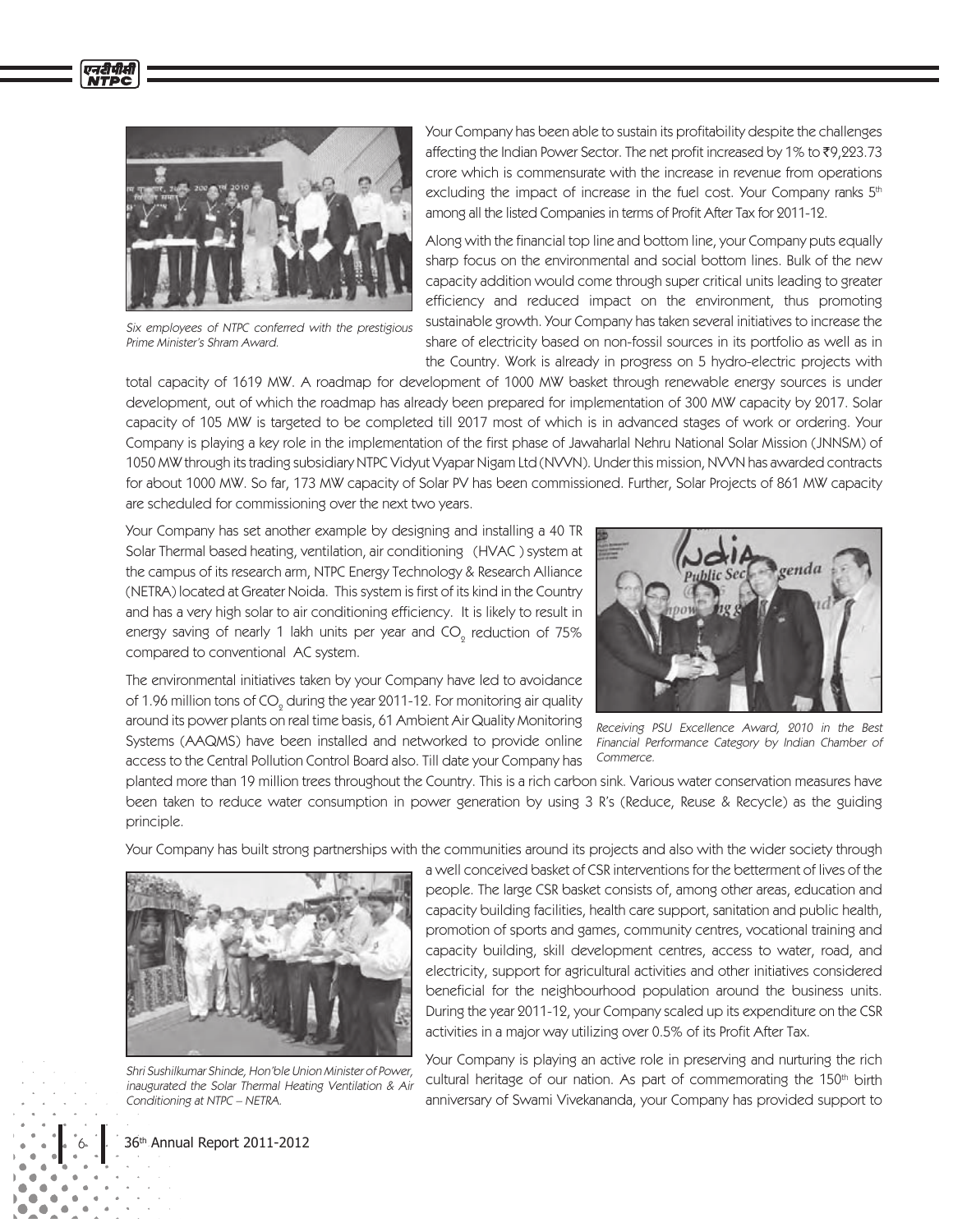

एनटीपीसी

Six employees of NTPC conferred with the prestigious Prime Minister's Shram Award.

Your Company has been able to sustain its profitability despite the challenges affecting the Indian Power Sector. The net profit increased by 1% to ₹9,223.73 crore which is commensurate with the increase in revenue from operations excluding the impact of increase in the fuel cost. Your Company ranks  $5<sup>th</sup>$ among all the listed Companies in terms of Profit After Tax for 2011-12.

Along with the financial top line and bottom line, your Company puts equally sharp focus on the environmental and social bottom lines. Bulk of the new capacity addition would come through super critical units leading to greater efficiency and reduced impact on the environment, thus promoting sustainable growth. Your Company has taken several initiatives to increase the share of electricity based on non-fossil sources in its portfolio as well as in the Country. Work is already in progress on 5 hydro-electric projects with

total capacity of 1619 MW. A roadmap for development of 1000 MW basket through renewable energy sources is under development, out of which the roadmap has already been prepared for implementation of 300 MW capacity by 2017. Solar capacity of 105 MW is targeted to be completed till 2017 most of which is in advanced stages of work or ordering. Your Company is playing a key role in the implementation of the first phase of Jawaharlal Nehru National Solar Mission (JNNSM) of 1050 MW through its trading subsidiary NTPC Vidyut Vyapar Nigam Ltd (NVVN). Under this mission, NVVN has awarded contracts for about 1000 MW. So far, 173 MW capacity of Solar PV has been commissioned. Further, Solar Projects of 861 MW capacity are scheduled for commissioning over the next two years.

Your Company has set another example by designing and installing a 40 TR Solar Thermal based heating, ventilation, air conditioning (HVAC ) system at the campus of its research arm, NTPC Energy Technology & Research Alliance (NETRA) located at Greater Noida. This system is first of its kind in the Country and has a very high solar to air conditioning efficiency. It is likely to result in energy saving of nearly 1 lakh units per year and CO $_{\tiny 2}$  reduction of 75% compared to conventional AC system.



The environmental initiatives taken by your Company have led to avoidance of 1.96 million tons of CO $_{\tiny 2}$  during the year 2011-12. For monitoring air quality around its power plants on real time basis, 61 Ambient Air Quality Monitoring Systems (AAQMS) have been installed and networked to provide online access to the Central Pollution Control Board also. Till date your Company has

Receiving PSU Excellence Award, 2010 in the Best Financial Performance Category by Indian Chamber of Commerce.

planted more than 19 million trees throughout the Country. This is a rich carbon sink. Various water conservation measures have been taken to reduce water consumption in power generation by using 3 R's (Reduce, Reuse & Recycle) as the guiding principle.

Your Company has built strong partnerships with the communities around its projects and also with the wider society through



Shri Sushilkumar Shinde, Hon'ble Union Minister of Power, inaugurated the Solar Thermal Heating Ventilation & Air Conditioning at NTPC – NETRA.

a well conceived basket of CSR interventions for the betterment of lives of the people. The large CSR basket consists of, among other areas, education and capacity building facilities, health care support, sanitation and public health, promotion of sports and games, community centres, vocational training and capacity building, skill development centres, access to water, road, and electricity, support for agricultural activities and other initiatives considered beneficial for the neighbourhood population around the business units. During the year 2011-12, your Company scaled up its expenditure on the CSR activities in a major way utilizing over 0.5% of its Profit After Tax.

Your Company is playing an active role in preserving and nurturing the rich cultural heritage of our nation. As part of commemorating the 150<sup>th</sup> birth anniversary of Swami Vivekananda, your Company has provided support to

36<sup>th</sup> Annual Report 2011-2012